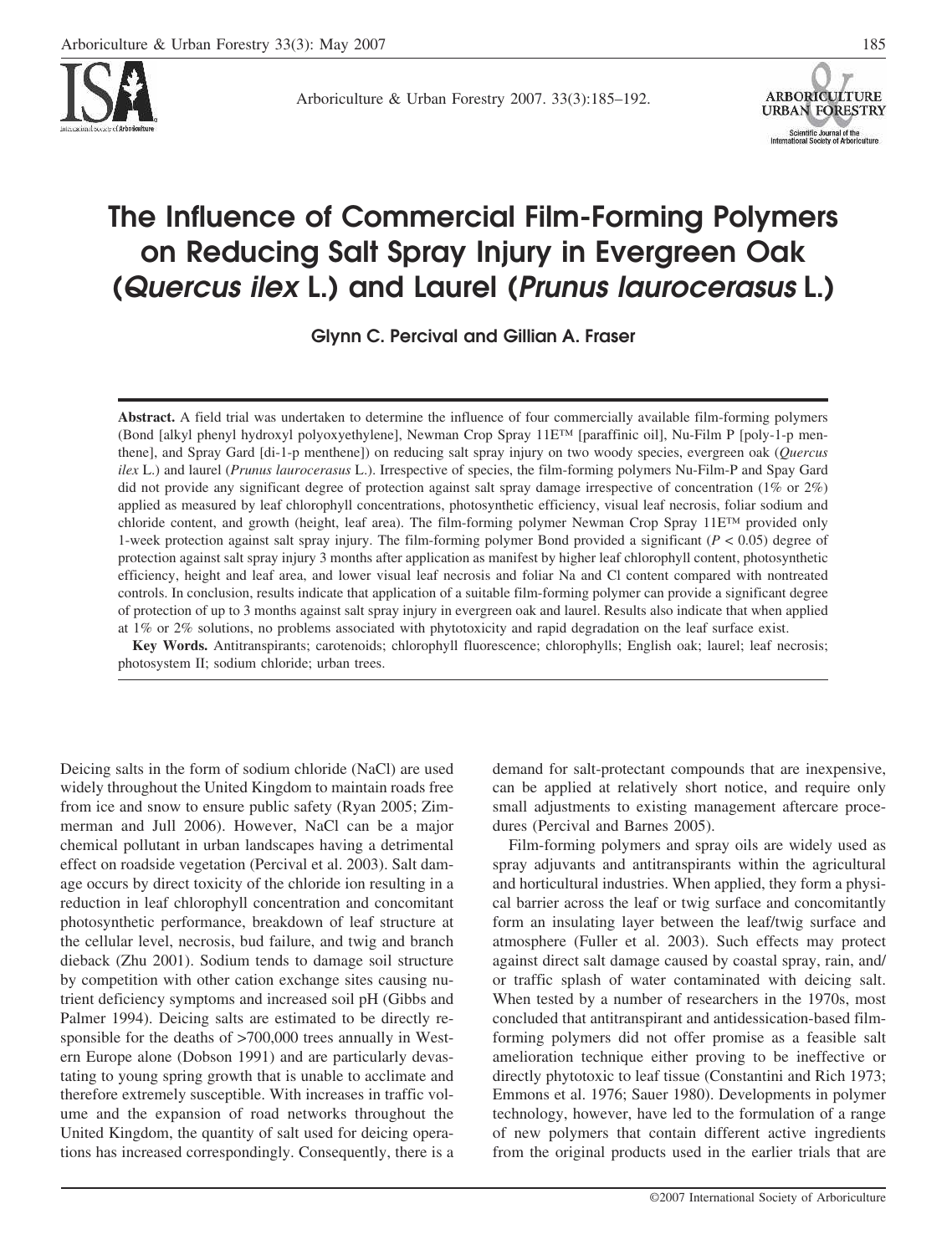

Arboriculture & Urban Forestry 2007. 33(3):185–192.



# **The Influence of Commercial Film-Forming Polymers on Reducing Salt Spray Injury in Evergreen Oak (***Quercus ilex* **L.) and Laurel (***Prunus laurocerasus* **L.)**

**Glynn C. Percival and Gillian A. Fraser**

**Abstract.** A field trial was undertaken to determine the influence of four commercially available film-forming polymers (Bond [alkyl phenyl hydroxyl polyoxyethylene], Newman Crop Spray 11E™ [paraffinic oil], Nu-Film P [poly-1-p menthene], and Spray Gard [di-1-p menthene]) on reducing salt spray injury on two woody species, evergreen oak (*Quercus ilex* L.) and laurel (*Prunus laurocerasus* L.). Irrespective of species, the film-forming polymers Nu-Film-P and Spay Gard did not provide any significant degree of protection against salt spray damage irrespective of concentration (1% or 2%) applied as measured by leaf chlorophyll concentrations, photosynthetic efficiency, visual leaf necrosis, foliar sodium and chloride content, and growth (height, leaf area). The film-forming polymer Newman Crop Spray 11E™ provided only 1-week protection against salt spray injury. The film-forming polymer Bond provided a significant (*P* < 0.05) degree of protection against salt spray injury 3 months after application as manifest by higher leaf chlorophyll content, photosynthetic efficiency, height and leaf area, and lower visual leaf necrosis and foliar Na and Cl content compared with nontreated controls. In conclusion, results indicate that application of a suitable film-forming polymer can provide a significant degree of protection of up to 3 months against salt spray injury in evergreen oak and laurel. Results also indicate that when applied at 1% or 2% solutions, no problems associated with phytotoxicity and rapid degradation on the leaf surface exist.

**Key Words.** Antitranspirants; carotenoids; chlorophyll fluorescence; chlorophylls; English oak; laurel; leaf necrosis; photosystem II; sodium chloride; urban trees.

Deicing salts in the form of sodium chloride (NaCl) are used widely throughout the United Kingdom to maintain roads free from ice and snow to ensure public safety (Ryan 2005; Zimmerman and Jull 2006). However, NaCl can be a major chemical pollutant in urban landscapes having a detrimental effect on roadside vegetation (Percival et al. 2003). Salt damage occurs by direct toxicity of the chloride ion resulting in a reduction in leaf chlorophyll concentration and concomitant photosynthetic performance, breakdown of leaf structure at the cellular level, necrosis, bud failure, and twig and branch dieback (Zhu 2001). Sodium tends to damage soil structure by competition with other cation exchange sites causing nutrient deficiency symptoms and increased soil pH (Gibbs and Palmer 1994). Deicing salts are estimated to be directly responsible for the deaths of  $>700,000$  trees annually in Western Europe alone (Dobson 1991) and are particularly devastating to young spring growth that is unable to acclimate and therefore extremely susceptible. With increases in traffic volume and the expansion of road networks throughout the United Kingdom, the quantity of salt used for deicing operations has increased correspondingly. Consequently, there is a

demand for salt-protectant compounds that are inexpensive, can be applied at relatively short notice, and require only small adjustments to existing management aftercare procedures (Percival and Barnes 2005).

Film-forming polymers and spray oils are widely used as spray adjuvants and antitranspirants within the agricultural and horticultural industries. When applied, they form a physical barrier across the leaf or twig surface and concomitantly form an insulating layer between the leaf/twig surface and atmosphere (Fuller et al. 2003). Such effects may protect against direct salt damage caused by coastal spray, rain, and/ or traffic splash of water contaminated with deicing salt. When tested by a number of researchers in the 1970s, most concluded that antitranspirant and antidessication-based filmforming polymers did not offer promise as a feasible salt amelioration technique either proving to be ineffective or directly phytotoxic to leaf tissue (Constantini and Rich 1973; Emmons et al. 1976; Sauer 1980). Developments in polymer technology, however, have led to the formulation of a range of new polymers that contain different active ingredients from the original products used in the earlier trials that are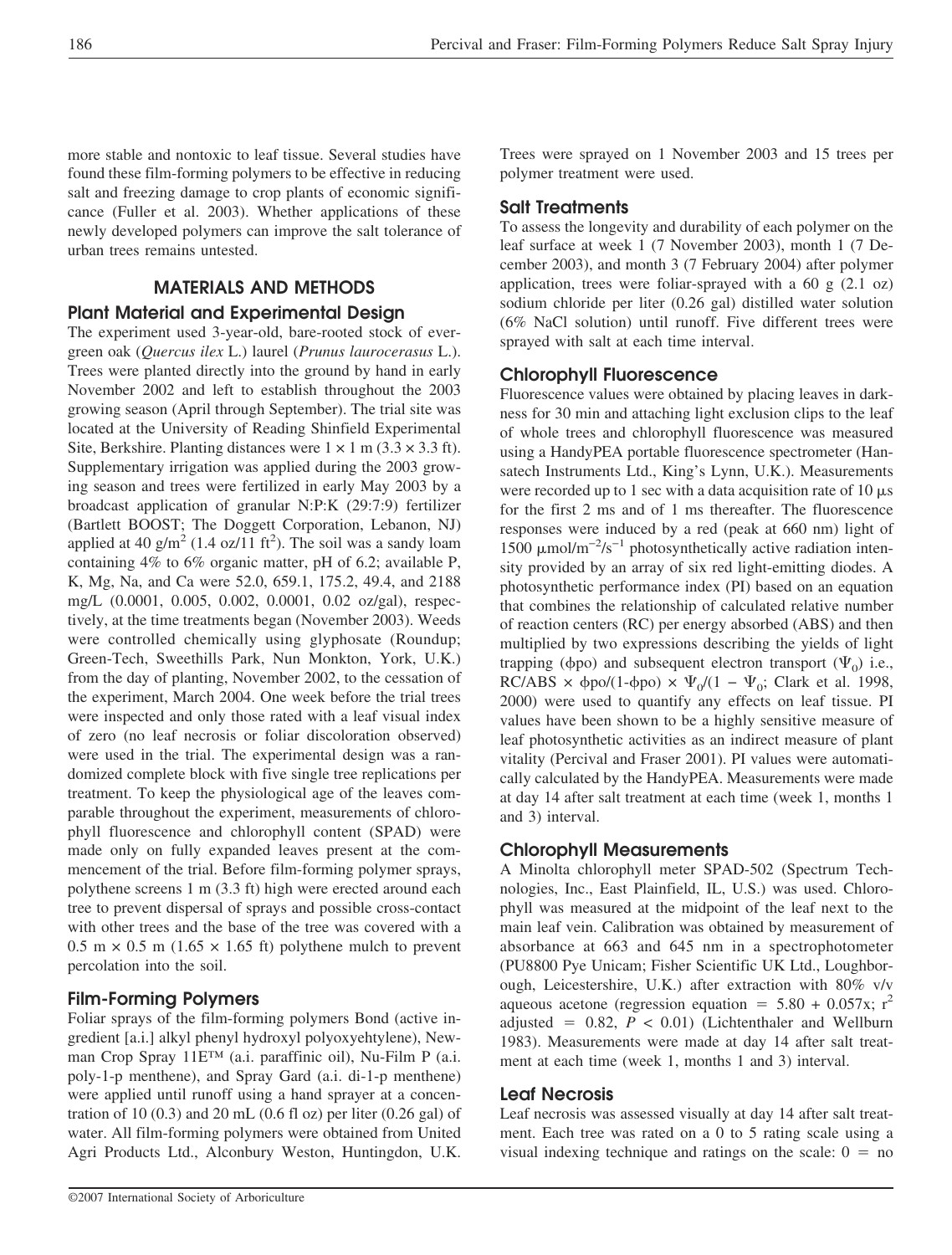more stable and nontoxic to leaf tissue. Several studies have found these film-forming polymers to be effective in reducing salt and freezing damage to crop plants of economic significance (Fuller et al. 2003). Whether applications of these newly developed polymers can improve the salt tolerance of urban trees remains untested.

# **MATERIALS AND METHODS**

# **Plant Material and Experimental Design**

The experiment used 3-year-old, bare-rooted stock of evergreen oak (*Quercus ilex* L.) laurel (*Prunus laurocerasus* L.). Trees were planted directly into the ground by hand in early November 2002 and left to establish throughout the 2003 growing season (April through September). The trial site was located at the University of Reading Shinfield Experimental Site, Berkshire. Planting distances were  $1 \times 1$  m (3.3  $\times$  3.3 ft). Supplementary irrigation was applied during the 2003 growing season and trees were fertilized in early May 2003 by a broadcast application of granular N:P:K (29:7:9) fertilizer (Bartlett BOOST; The Doggett Corporation, Lebanon, NJ) applied at 40  $\text{g/m}^2$  (1.4 oz/11 ft<sup>2</sup>). The soil was a sandy loam containing 4% to 6% organic matter, pH of 6.2; available P, K, Mg, Na, and Ca were 52.0, 659.1, 175.2, 49.4, and 2188 mg/L (0.0001, 0.005, 0.002, 0.0001, 0.02 oz/gal), respectively, at the time treatments began (November 2003). Weeds were controlled chemically using glyphosate (Roundup; Green-Tech, Sweethills Park, Nun Monkton, York, U.K.) from the day of planting, November 2002, to the cessation of the experiment, March 2004. One week before the trial trees were inspected and only those rated with a leaf visual index of zero (no leaf necrosis or foliar discoloration observed) were used in the trial. The experimental design was a randomized complete block with five single tree replications per treatment. To keep the physiological age of the leaves comparable throughout the experiment, measurements of chlorophyll fluorescence and chlorophyll content (SPAD) were made only on fully expanded leaves present at the commencement of the trial. Before film-forming polymer sprays, polythene screens 1 m (3.3 ft) high were erected around each tree to prevent dispersal of sprays and possible cross-contact with other trees and the base of the tree was covered with a  $0.5 \text{ m} \times 0.5 \text{ m}$  (1.65  $\times$  1.65 ft) polythene mulch to prevent percolation into the soil.

## **Film-Forming Polymers**

Foliar sprays of the film-forming polymers Bond (active ingredient [a.i.] alkyl phenyl hydroxyl polyoxyehtylene), Newman Crop Spray 11E™ (a.i. paraffinic oil), Nu-Film P (a.i. poly-1-p menthene), and Spray Gard (a.i. di-1-p menthene) were applied until runoff using a hand sprayer at a concentration of 10 $(0.3)$  and 20 mL $(0.6 \text{ fl oz})$  per liter  $(0.26 \text{ gal})$  of water. All film-forming polymers were obtained from United Agri Products Ltd., Alconbury Weston, Huntingdon, U.K.

Trees were sprayed on 1 November 2003 and 15 trees per polymer treatment were used.

## **Salt Treatments**

To assess the longevity and durability of each polymer on the leaf surface at week 1 (7 November 2003), month 1 (7 December 2003), and month 3 (7 February 2004) after polymer application, trees were foliar-sprayed with a 60 g  $(2.1 \text{ oz})$ sodium chloride per liter (0.26 gal) distilled water solution (6% NaCl solution) until runoff. Five different trees were sprayed with salt at each time interval.

## **Chlorophyll Fluorescence**

Fluorescence values were obtained by placing leaves in darkness for 30 min and attaching light exclusion clips to the leaf of whole trees and chlorophyll fluorescence was measured using a HandyPEA portable fluorescence spectrometer (Hansatech Instruments Ltd., King's Lynn, U.K.). Measurements were recorded up to 1 sec with a data acquisition rate of 10  $\mu$ s for the first 2 ms and of 1 ms thereafter. The fluorescence responses were induced by a red (peak at 660 nm) light of 1500 μmol/m<sup>-2</sup>/s<sup>-1</sup> photosynthetically active radiation intensity provided by an array of six red light-emitting diodes. A photosynthetic performance index (PI) based on an equation that combines the relationship of calculated relative number of reaction centers (RC) per energy absorbed (ABS) and then multiplied by two expressions describing the yields of light trapping ( $\phi$ po) and subsequent electron transport ( $\Psi$ <sub>0</sub>) i.e.,  $RC/ABS \times \phi po/(1-\phi po) \times \Psi_0/(1-\Psi_0; Clark \text{ et al. } 1998,$ 2000) were used to quantify any effects on leaf tissue. PI values have been shown to be a highly sensitive measure of leaf photosynthetic activities as an indirect measure of plant vitality (Percival and Fraser 2001). PI values were automatically calculated by the HandyPEA. Measurements were made at day 14 after salt treatment at each time (week 1, months 1 and 3) interval.

## **Chlorophyll Measurements**

A Minolta chlorophyll meter SPAD-502 (Spectrum Technologies, Inc., East Plainfield, IL, U.S.) was used. Chlorophyll was measured at the midpoint of the leaf next to the main leaf vein. Calibration was obtained by measurement of absorbance at 663 and 645 nm in a spectrophotometer (PU8800 Pye Unicam; Fisher Scientific UK Ltd., Loughborough, Leicestershire, U.K.) after extraction with 80% v/v aqueous acetone (regression equation =  $5.80 + 0.057x$ ; r<sup>2</sup> adjusted  $= 0.82$ ,  $P < 0.01$ ) (Lichtenthaler and Wellburn 1983). Measurements were made at day 14 after salt treatment at each time (week 1, months 1 and 3) interval.

### **Leaf Necrosis**

Leaf necrosis was assessed visually at day 14 after salt treatment. Each tree was rated on a 0 to 5 rating scale using a visual indexing technique and ratings on the scale:  $0 = no$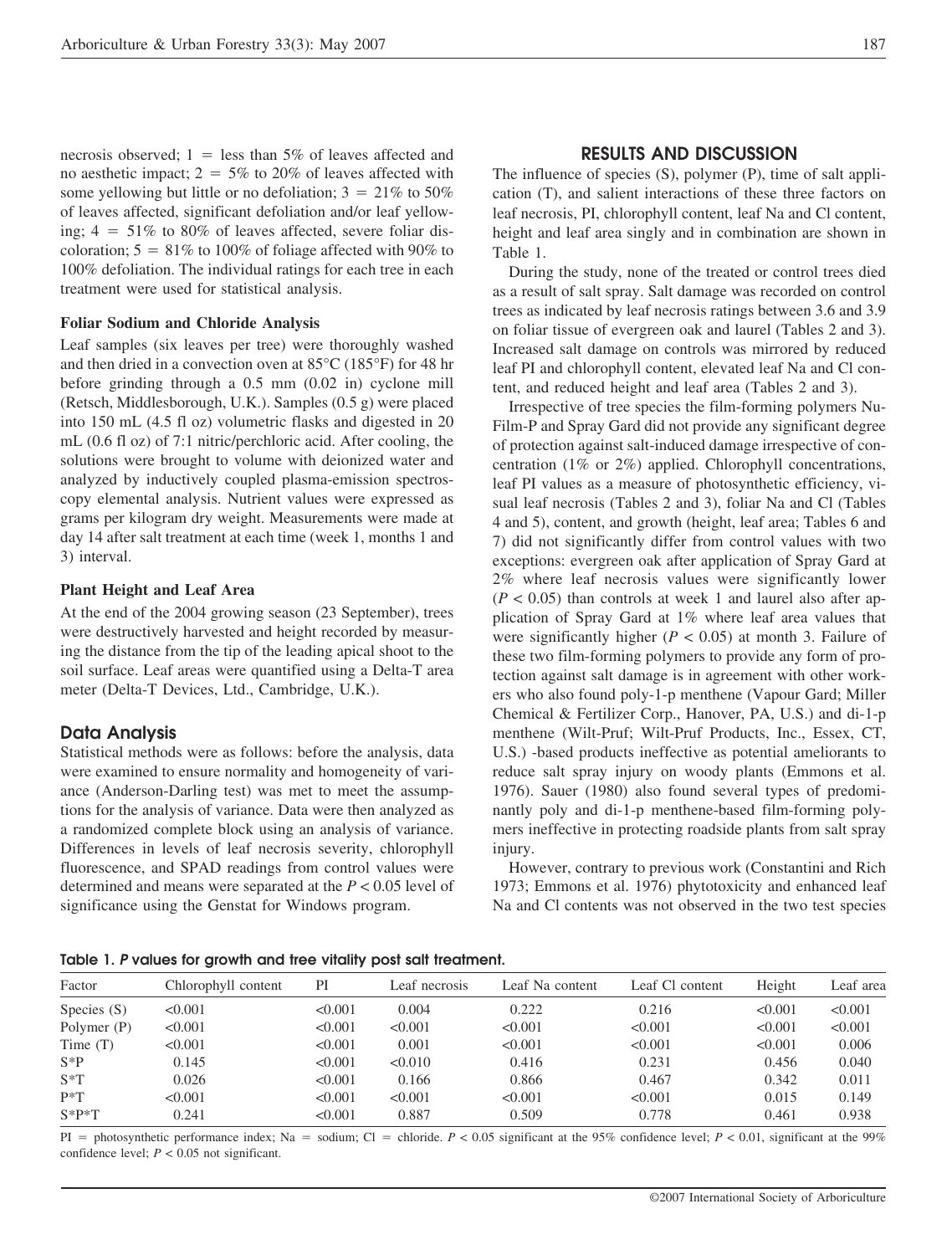necrosis observed;  $1 =$  less than 5% of leaves affected and no aesthetic impact;  $2 = 5\%$  to 20% of leaves affected with some yellowing but little or no defoliation;  $3 = 21\%$  to 50% of leaves affected, significant defoliation and/or leaf yellowing;  $4 = 51\%$  to 80% of leaves affected, severe foliar discoloration;  $5 = 81\%$  to 100% of foliage affected with 90% to 100% defoliation. The individual ratings for each tree in each treatment were used for statistical analysis.

#### **Foliar Sodium and Chloride Analysis**

Leaf samples (six leaves per tree) were thoroughly washed and then dried in a convection oven at 85°C (185°F) for 48 hr before grinding through a 0.5 mm (0.02 in) cyclone mill (Retsch, Middlesborough, U.K.). Samples (0.5 g) were placed into 150 mL (4.5 fl oz) volumetric flasks and digested in 20 mL (0.6 fl oz) of 7:1 nitric/perchloric acid. After cooling, the solutions were brought to volume with deionized water and analyzed by inductively coupled plasma-emission spectroscopy elemental analysis. Nutrient values were expressed as grams per kilogram dry weight. Measurements were made at day 14 after salt treatment at each time (week 1, months 1 and 3) interval.

#### **Plant Height and Leaf Area**

At the end of the 2004 growing season (23 September), trees were destructively harvested and height recorded by measuring the distance from the tip of the leading apical shoot to the soil surface. Leaf areas were quantified using a Delta-T area meter (Delta-T Devices, Ltd., Cambridge, U.K.).

#### **Data Analysis**

Statistical methods were as follows: before the analysis, data were examined to ensure normality and homogeneity of variance (Anderson-Darling test) was met to meet the assumptions for the analysis of variance. Data were then analyzed as a randomized complete block using an analysis of variance. Differences in levels of leaf necrosis severity, chlorophyll fluorescence, and SPAD readings from control values were determined and means were separated at the *P* < 0.05 level of significance using the Genstat for Windows program.

#### **RESULTS AND DISCUSSION**

The influence of species (S), polymer (P), time of salt application (T), and salient interactions of these three factors on leaf necrosis, PI, chlorophyll content, leaf Na and Cl content, height and leaf area singly and in combination are shown in Table 1.

During the study, none of the treated or control trees died as a result of salt spray. Salt damage was recorded on control trees as indicated by leaf necrosis ratings between 3.6 and 3.9 on foliar tissue of evergreen oak and laurel (Tables 2 and 3). Increased salt damage on controls was mirrored by reduced leaf PI and chlorophyll content, elevated leaf Na and Cl content, and reduced height and leaf area (Tables 2 and 3).

Irrespective of tree species the film-forming polymers Nu-Film-P and Spray Gard did not provide any significant degree of protection against salt-induced damage irrespective of concentration (1% or 2%) applied. Chlorophyll concentrations, leaf PI values as a measure of photosynthetic efficiency, visual leaf necrosis (Tables 2 and 3), foliar Na and Cl (Tables 4 and 5), content, and growth (height, leaf area; Tables 6 and 7) did not significantly differ from control values with two exceptions: evergreen oak after application of Spray Gard at 2% where leaf necrosis values were significantly lower  $(P < 0.05)$  than controls at week 1 and laurel also after application of Spray Gard at 1% where leaf area values that were significantly higher ( $P < 0.05$ ) at month 3. Failure of these two film-forming polymers to provide any form of protection against salt damage is in agreement with other workers who also found poly-1-p menthene (Vapour Gard; Miller Chemical & Fertilizer Corp., Hanover, PA, U.S.) and di-1-p menthene (Wilt-Pruf; Wilt-Pruf Products, Inc., Essex, CT, U.S.) -based products ineffective as potential ameliorants to reduce salt spray injury on woody plants (Emmons et al. 1976). Sauer (1980) also found several types of predominantly poly and di-1-p menthene-based film-forming polymers ineffective in protecting roadside plants from salt spray injury.

However, contrary to previous work (Constantini and Rich 1973; Emmons et al. 1976) phytotoxicity and enhanced leaf Na and Cl contents was not observed in the two test species

| Factor        | Chlorophyll content | PI      | Leaf necrosis | Leaf Na content | Leaf Cl content | Height  | Leaf area |
|---------------|---------------------|---------|---------------|-----------------|-----------------|---------|-----------|
| Species $(S)$ | < 0.001             | < 0.001 | 0.004         | 0.222           | 0.216           | < 0.001 | < 0.001   |
| Polymer (P)   | < 0.001             | < 0.001 | < 0.001       | < 0.001         | < 0.001         | < 0.001 | < 0.001   |
| Time $(T)$    | < 0.001             | < 0.001 | 0.001         | < 0.001         | < 0.001         | < 0.001 | 0.006     |
| $S^*P$        | 0.145               | < 0.001 | < 0.010       | 0.416           | 0.231           | 0.456   | 0.040     |
| $S^*T$        | 0.026               | < 0.001 | 0.166         | 0.866           | 0.467           | 0.342   | 0.011     |
| $P^*T$        | < 0.001             | < 0.001 | < 0.001       | < 0.001         | < 0.001         | 0.015   | 0.149     |
| $S*P*T$       | 0.241               | < 0.001 | 0.887         | 0.509           | 0.778           | 0.461   | 0.938     |
|               |                     |         |               |                 |                 |         |           |

PI = photosynthetic performance index; Na = sodium; Cl = chloride.  $P < 0.05$  significant at the 95% confidence level;  $P < 0.01$ , significant at the 99% confidence level;  $P < 0.05$  not significant.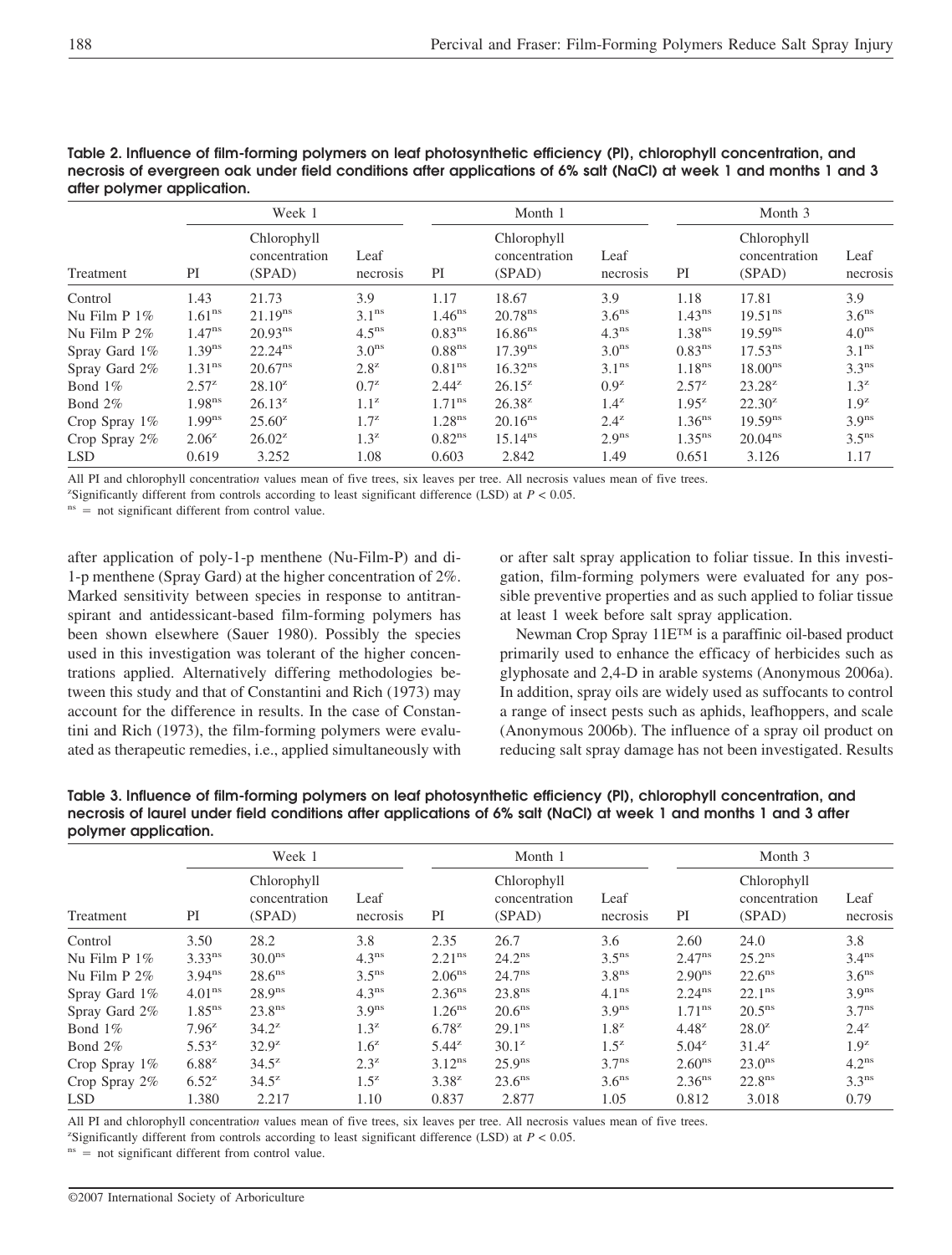|                  | Week 1                                       |                     |                   | Month 1            |                                        |                   | Month 3            |                                        |                   |
|------------------|----------------------------------------------|---------------------|-------------------|--------------------|----------------------------------------|-------------------|--------------------|----------------------------------------|-------------------|
| Treatment        | Chlorophyll<br>concentration<br>PI<br>(SPAD) |                     | Leaf<br>necrosis  | PI                 | Chlorophyll<br>concentration<br>(SPAD) | Leaf<br>necrosis  | PI                 | Chlorophyll<br>concentration<br>(SPAD) | Leaf<br>necrosis  |
| Control          | 1.43                                         | 21.73               | 3.9               | 1.17               | 18.67                                  | 3.9               | 1.18               | 17.81                                  | 3.9               |
| Nu Film $P_1\%$  | 1.61 <sup>ns</sup>                           | 21.19 <sup>ns</sup> | 3.1 <sup>ns</sup> | $1.46^{ns}$        | 20.78 <sup>ns</sup>                    | 3.6 <sup>ns</sup> | $1.43^{ns}$        | $19.51^{\text{ns}}$                    | 3.6 <sup>ns</sup> |
| Nu Film $P 2\%$  | $1.47^{ns}$                                  | $20.93^{ns}$        | 4.5 <sup>ns</sup> | 0.83 <sup>ns</sup> | $16.86^{ns}$                           | 4.3 <sup>ns</sup> | 1.38 <sup>ns</sup> | $19.59^{ns}$                           | 4.0 <sup>ns</sup> |
| Spray Gard 1%    | $1.39^{ns}$                                  | $22.24^{\text{ns}}$ | 3.0 <sup>ns</sup> | 0.88 <sup>ns</sup> | 17.39 <sup>ns</sup>                    | 3.0 <sup>ns</sup> | $0.83^{ns}$        | $17.53^{\text{ns}}$                    | 3.1 <sup>ns</sup> |
| Spray Gard 2%    | 1.31 <sup>ns</sup>                           | $20.67^{\text{ns}}$ | $2.8^z$           | 0.81 <sup>ns</sup> | 16.32 <sup>ns</sup>                    | 3.1 <sup>ns</sup> | 1.18 <sup>ns</sup> | 18.00 <sup>ns</sup>                    | 3.3 <sup>ns</sup> |
| Bond $1\%$       | $2.57^{z}$                                   | $28.10^{2}$         | $0.7^z$           | $2.44^{z}$         | $26.15^{z}$                            | 0.9 <sup>z</sup>  | $2.57^{z}$         | $23.28^{z}$                            | $1.3^z$           |
| Bond 2%          | 1.98 <sup>ns</sup>                           | $26.13^{2}$         | $1.1^z$           | $1.71^{\text{ns}}$ | $26.38^{z}$                            | $1.4^z$           | $1.95^{z}$         | $22.30^z$                              | 1.9 <sup>z</sup>  |
| Crop Spray $1\%$ | 1.99 <sup>ns</sup>                           | $25.60^z$           | $1.7^z$           | 1.28 <sup>ns</sup> | 20.16 <sup>ns</sup>                    | $2.4^z$           | 1.36 <sup>ns</sup> | $19.59^{ns}$                           | 3.9 <sup>ns</sup> |
| Crop Spray 2%    | $2.06^z$                                     | $26.02^z$           | $1.3^z$           | 0.82 <sup>ns</sup> | $15.14^{ns}$                           | 2.9 <sup>ns</sup> | $1.35^{\text{ns}}$ | $20.04^{\text{ns}}$                    | 3.5 <sup>ns</sup> |
| <b>LSD</b>       | 0.619                                        | 3.252               | 1.08              | 0.603              | 2.842                                  | 1.49              | 0.651              | 3.126                                  | 1.17              |

| Table 2. Influence of film-forming polymers on leaf photosynthetic efficiency (PI), chlorophyll concentration, and |
|--------------------------------------------------------------------------------------------------------------------|
| necrosis of evergreen oak under field conditions after applications of 6% salt (NaCl) at week 1 and months 1 and 3 |
| after polymer application.                                                                                         |

All PI and chlorophyll concentratio*n* values mean of five trees, six leaves per tree. All necrosis values mean of five trees.

<sup>z</sup>Significantly different from controls according to least significant difference (LSD) at  $P < 0.05$ .

 $n<sup>ns</sup>$  = not significant different from control value.

after application of poly-1-p menthene (Nu-Film-P) and di-1-p menthene (Spray Gard) at the higher concentration of 2%. Marked sensitivity between species in response to antitranspirant and antidessicant-based film-forming polymers has been shown elsewhere (Sauer 1980). Possibly the species used in this investigation was tolerant of the higher concentrations applied. Alternatively differing methodologies between this study and that of Constantini and Rich (1973) may account for the difference in results. In the case of Constantini and Rich (1973), the film-forming polymers were evaluated as therapeutic remedies, i.e., applied simultaneously with or after salt spray application to foliar tissue. In this investigation, film-forming polymers were evaluated for any possible preventive properties and as such applied to foliar tissue at least 1 week before salt spray application.

Newman Crop Spray 11E™ is a paraffinic oil-based product primarily used to enhance the efficacy of herbicides such as glyphosate and 2,4-D in arable systems (Anonymous 2006a). In addition, spray oils are widely used as suffocants to control a range of insect pests such as aphids, leafhoppers, and scale (Anonymous 2006b). The influence of a spray oil product on reducing salt spray damage has not been investigated. Results

| Table 3. Influence of film-forming polymers on leaf photosynthetic efficiency (PI), chlorophyll concentration, and |
|--------------------------------------------------------------------------------------------------------------------|
| necrosis of laurel under field conditions after applications of 6% salt (NaCl) at week 1 and months 1 and 3 after  |
| polymer application.                                                                                               |

|                 |                    | Week 1                                 |                   |                    | Month 1                                |                   |                    | Month 3                                |                   |  |
|-----------------|--------------------|----------------------------------------|-------------------|--------------------|----------------------------------------|-------------------|--------------------|----------------------------------------|-------------------|--|
| Treatment       | PI                 | Chlorophyll<br>concentration<br>(SPAD) | Leaf<br>necrosis  | PI                 | Chlorophyll<br>concentration<br>(SPAD) | Leaf<br>necrosis  | PI                 | Chlorophyll<br>concentration<br>(SPAD) | Leaf<br>necrosis  |  |
| Control         | 3.50               | 28.2                                   | 3.8               | 2.35               | 26.7                                   | 3.6               | 2.60               | 24.0                                   | 3.8               |  |
| Nu Film $P_1\%$ | $3.33^{ns}$        | 30.0 <sup>ns</sup>                     | 4.3 <sup>ns</sup> | 2.21 <sup>ns</sup> | $24.2^{ns}$                            | 3.5 <sup>ns</sup> | $2.47^{ns}$        | $25.2^{\text{ns}}$                     | 3.4 <sup>ns</sup> |  |
| Nu Film $P 2\%$ | $3.94^{ns}$        | $28.6^{ns}$                            | 3.5 <sup>ns</sup> | 2.06 <sup>ns</sup> | $24.7^{\text{ns}}$                     | 3.8 <sup>ns</sup> | 2.90 <sup>ns</sup> | $22.6^{\text{ns}}$                     | 3.6 <sup>ns</sup> |  |
| Spray Gard 1%   | 4.01 <sup>ns</sup> | 28.9 <sup>ns</sup>                     | 4.3 <sup>ns</sup> | 2.36 <sup>ns</sup> | 23.8 <sup>ns</sup>                     | 4.1 <sup>ns</sup> | 2.24 <sup>ns</sup> | 22.1 <sup>ns</sup>                     | 3.9 <sup>ns</sup> |  |
| Spray Gard 2%   | $1.85^{ns}$        | 23.8 <sup>ns</sup>                     | 3.9 <sup>ns</sup> | 1.26 <sup>ns</sup> | 20.6 <sup>ns</sup>                     | 3.9 <sup>ns</sup> | $1.71^{\text{ns}}$ | $20.5^{\text{ns}}$                     | $3.7^{\text{ns}}$ |  |
| Bond $1\%$      | $7.96^{z}$         | $34.2^z$                               | $1.3^z$           | $6.78^{2}$         | 29.1 <sup>ns</sup>                     | $1.8^z$           | $4.48^{z}$         | $28.0^z$                               | $2.4^z$           |  |
| Bond $2\%$      | $5.53^z$           | $32.9^z$                               | $1.6^z$           | $5.44^{z}$         | $30.1^z$                               | $1.5^z$           | $5.04^{z}$         | $31.4^z$                               | 1.9 <sup>z</sup>  |  |
| Crop Spray 1%   | $6.88^{2}$         | $34.5^z$                               | $2.3^z$           | $3.12^{ns}$        | 25.9 <sup>ns</sup>                     | 3.7 <sup>ns</sup> | 2.60 <sup>ns</sup> | 23.0 <sup>ns</sup>                     | 4.2 <sup>ns</sup> |  |
| Crop Spray 2%   | $6.52^{z}$         | $34.5^{\rm z}$                         | $1.5^z$           | $3.38^{z}$         | $23.6^{\text{ns}}$                     | 3.6 <sup>ns</sup> | 2.36 <sup>ns</sup> | 22.8 <sup>ns</sup>                     | 3.3 <sup>ns</sup> |  |
| <b>LSD</b>      | 1.380              | 2.217                                  | 1.10              | 0.837              | 2.877                                  | 1.05              | 0.812              | 3.018                                  | 0.79              |  |

All PI and chlorophyll concentratio*n* values mean of five trees, six leaves per tree. All necrosis values mean of five trees.

<sup>z</sup>Significantly different from controls according to least significant difference (LSD) at  $P < 0.05$ .

 $n<sub>ns</sub> =$  not significant different from control value.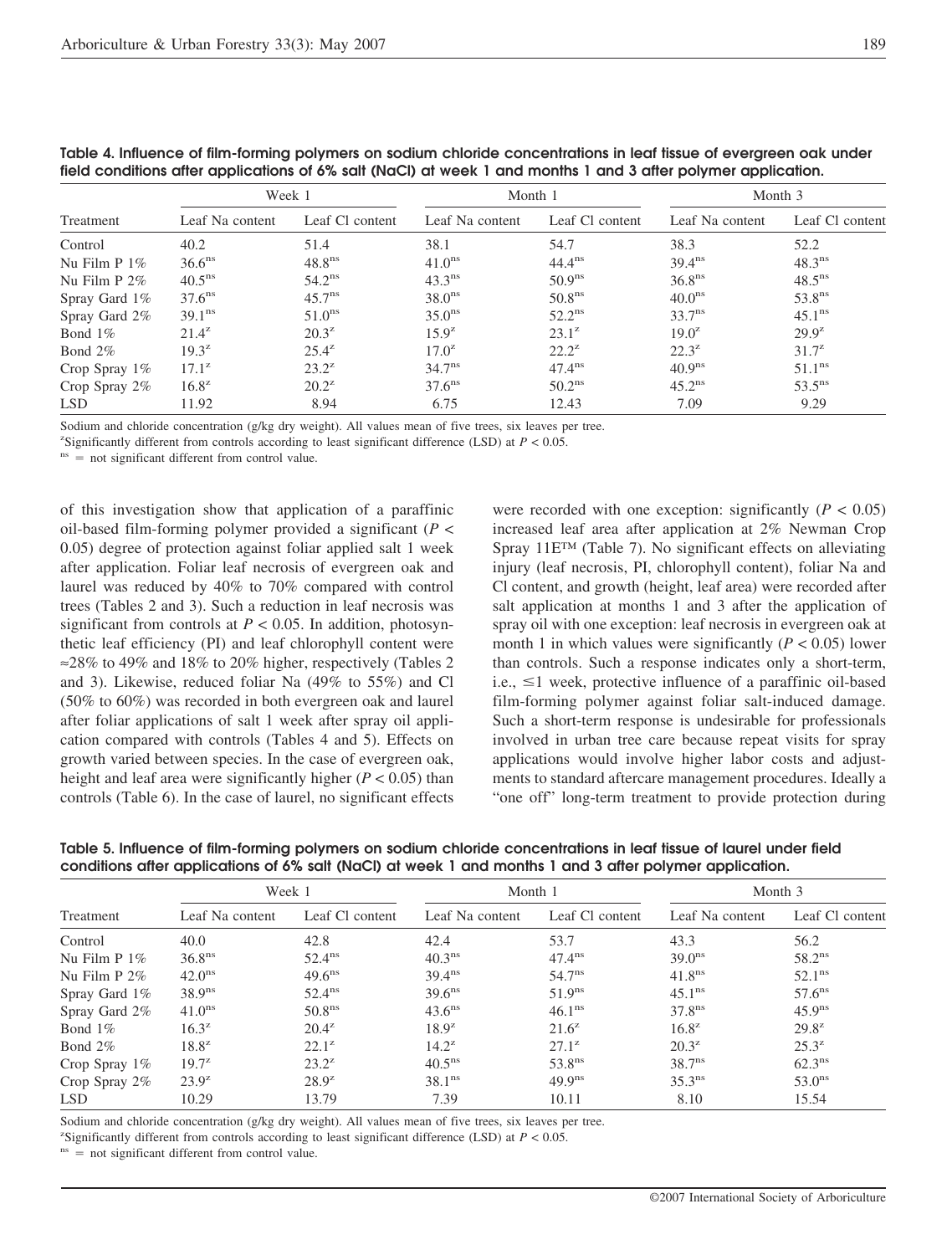|                  | Week 1             |                    | Month 1            |                    | Month 3            |                    |  |
|------------------|--------------------|--------------------|--------------------|--------------------|--------------------|--------------------|--|
| Treatment        | Leaf Na content    | Leaf Cl content    | Leaf Na content    | Leaf Cl content    | Leaf Na content    | Leaf Cl content    |  |
| Control          | 40.2               | 51.4               | 38.1               | 54.7               | 38.3               | 52.2               |  |
| Nu Film $P_1\%$  | 36.6 <sup>ns</sup> | 48.8 <sup>ns</sup> | 41.0 <sup>ns</sup> | $44.4^{\text{ns}}$ | $39.4^{ns}$        | $48.3^{ns}$        |  |
| Nu Film $P 2\%$  | $40.5^{\text{ns}}$ | $54.2^{\text{ns}}$ | $43.3^{\text{ns}}$ | 50.9 <sup>ns</sup> | 36.8 <sup>ns</sup> | $48.5^{\text{ns}}$ |  |
| Spray Gard 1%    | $37.6^{\text{ns}}$ | $45.7^{\text{ns}}$ | 38.0 <sup>ns</sup> | 50.8 <sup>ns</sup> | 40.0 <sup>ns</sup> | 53.8 <sup>ns</sup> |  |
| Spray Gard 2%    | 39.1 <sup>ns</sup> | 51.0 <sup>ns</sup> | $35.0^{\text{ns}}$ | $52.2^{\text{ns}}$ | 33.7 <sup>ns</sup> | 45.1 <sup>ns</sup> |  |
| Bond $1\%$       | $21.4^z$           | $20.3^z$           | $15.9^z$           | $23.1^z$           | $19.0^z$           | $29.9^{z}$         |  |
| Bond $2\%$       | $19.3^{z}$         | $25.4^z$           | $17.0^z$           | $22.2^z$           | $22.3^z$           | $31.7^{z}$         |  |
| Crop Spray $1\%$ | $17.1^z$           | $23.2^z$           | $34.7^{\text{ns}}$ | $47.4^{\text{ns}}$ | 40.9 <sup>ns</sup> | 51.1 <sup>ns</sup> |  |
| Crop Spray 2%    | $16.8^z$           | $20.2^z$           | $37.6^{\text{ns}}$ | 50.2 <sup>ns</sup> | $45.2^{\text{ns}}$ | $53.5^{\text{ns}}$ |  |
| <b>LSD</b>       | 11.92              | 8.94               | 6.75               | 12.43              | 7.09               | 9.29               |  |

**Table 4. Influence of film-forming polymers on sodium chloride concentrations in leaf tissue of evergreen oak under field conditions after applications of 6% salt (NaCl) at week 1 and months 1 and 3 after polymer application.**

Sodium and chloride concentration (g/kg dry weight). All values mean of five trees, six leaves per tree.

<sup>z</sup>Significantly different from controls according to least significant difference (LSD) at  $P < 0.05$ .

 $n<sup>ns</sup>$  = not significant different from control value.

of this investigation show that application of a paraffinic oil-based film-forming polymer provided a significant (*P* < 0.05) degree of protection against foliar applied salt 1 week after application. Foliar leaf necrosis of evergreen oak and laurel was reduced by 40% to 70% compared with control trees (Tables 2 and 3). Such a reduction in leaf necrosis was significant from controls at  $P < 0.05$ . In addition, photosynthetic leaf efficiency (PI) and leaf chlorophyll content were ≈28% to 49% and 18% to 20% higher, respectively (Tables 2 and 3). Likewise, reduced foliar Na (49% to 55%) and Cl (50% to 60%) was recorded in both evergreen oak and laurel after foliar applications of salt 1 week after spray oil application compared with controls (Tables 4 and 5). Effects on growth varied between species. In the case of evergreen oak, height and leaf area were significantly higher (*P* < 0.05) than controls (Table 6). In the case of laurel, no significant effects

were recorded with one exception: significantly  $(P < 0.05)$ increased leaf area after application at 2% Newman Crop Spray 11E™ (Table 7). No significant effects on alleviating injury (leaf necrosis, PI, chlorophyll content), foliar Na and Cl content, and growth (height, leaf area) were recorded after salt application at months 1 and 3 after the application of spray oil with one exception: leaf necrosis in evergreen oak at month 1 in which values were significantly  $(P < 0.05)$  lower than controls. Such a response indicates only a short-term, i.e.,  $\leq$ 1 week, protective influence of a paraffinic oil-based film-forming polymer against foliar salt-induced damage. Such a short-term response is undesirable for professionals involved in urban tree care because repeat visits for spray applications would involve higher labor costs and adjustments to standard aftercare management procedures. Ideally a "one off" long-term treatment to provide protection during

**Table 5. Influence of film-forming polymers on sodium chloride concentrations in leaf tissue of laurel under field conditions after applications of 6% salt (NaCl) at week 1 and months 1 and 3 after polymer application.**

|                 |                    | Week 1             |                    | Month 1            | Month 3            |                    |  |  |  |
|-----------------|--------------------|--------------------|--------------------|--------------------|--------------------|--------------------|--|--|--|
| Treatment       | Leaf Na content    | Leaf Cl content    | Leaf Na content    | Leaf Cl content    | Leaf Na content    | Leaf Cl content    |  |  |  |
| Control         | 40.0               | 42.8               | 42.4               | 53.7               | 43.3               | 56.2               |  |  |  |
| Nu Film $P_1\%$ | 36.8 <sup>ns</sup> | $52.4^{\text{ns}}$ | 40.3 <sup>ns</sup> | $47.4^{\text{ns}}$ | 39.0 <sup>ns</sup> | $58.2^{ns}$        |  |  |  |
| Nu Film $P 2\%$ | $42.0^{\text{ns}}$ | $49.6^{\text{ns}}$ | $39.4^{ns}$        | $54.7^{\text{ns}}$ | 41.8 <sup>ns</sup> | $52.1^{\text{ns}}$ |  |  |  |
| Spray Gard 1%   | 38.9 <sup>ns</sup> | $52.4^{\text{ns}}$ | $39.6^{\text{ns}}$ | 51.9 <sup>ns</sup> | 45.1 <sup>ns</sup> | $57.6^{\text{ns}}$ |  |  |  |
| Spray Gard 2%   | 41.0 <sup>ns</sup> | 50.8 <sup>ns</sup> | $43.6^{\text{ns}}$ | 46.1 <sup>ns</sup> | 37.8 <sup>ns</sup> | 45.9 <sup>ns</sup> |  |  |  |
| Bond $1\%$      | $16.3^z$           | $20.4^z$           | $18.9^{z}$         | $21.6^z$           | $16.8^z$           | $29.8^z$           |  |  |  |
| Bond $2\%$      | $18.8^z$           | $22.1^z$           | $14.2^z$           | $27.1^z$           | $20.3^z$           | $25.3^z$           |  |  |  |
| Crop Spray 1%   | $19.7^{z}$         | $23.2^z$           | $40.5^{\text{ns}}$ | 53.8 <sup>ns</sup> | 38.7 <sup>ns</sup> | 62.3 <sup>ns</sup> |  |  |  |
| Crop Spray 2%   | $23.9^z$           | $28.9^{z}$         | 38.1 <sup>ns</sup> | 49.9 <sup>ns</sup> | 35.3 <sup>ns</sup> | $53.0^{\text{ns}}$ |  |  |  |
| <b>LSD</b>      | 10.29              | 13.79              | 7.39               | 10.11              | 8.10               | 15.54              |  |  |  |

Sodium and chloride concentration (g/kg dry weight). All values mean of five trees, six leaves per tree.

<sup>z</sup>Significantly different from controls according to least significant difference (LSD) at  $P < 0.05$ .

 $n<sup>ns</sup>$  = not significant different from control value.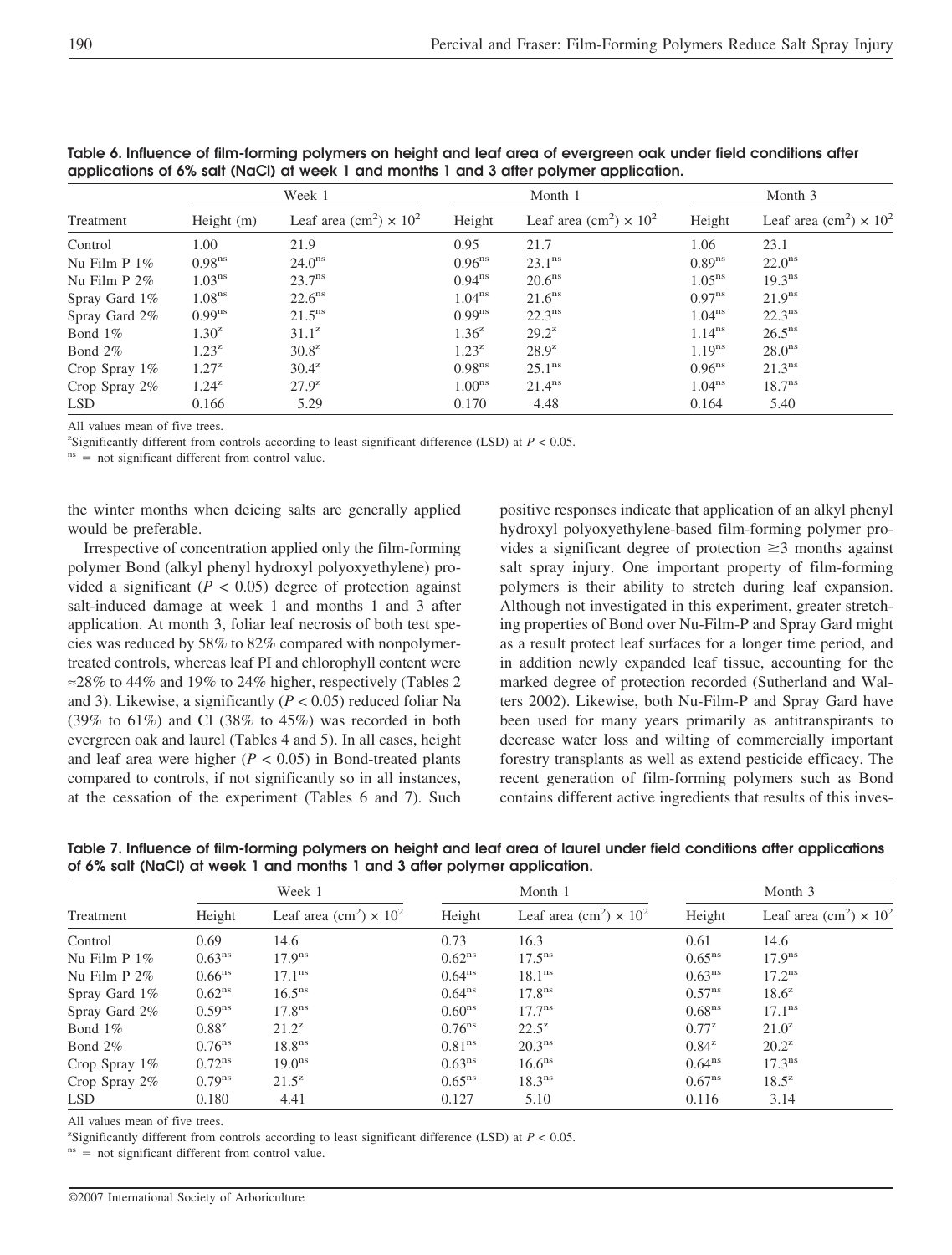|                  |                    | Week 1                                                |                      | Month 1                                               | Month 3            |                                                       |  |
|------------------|--------------------|-------------------------------------------------------|----------------------|-------------------------------------------------------|--------------------|-------------------------------------------------------|--|
| Treatment        | Height (m)         | Leaf area (cm <sup>2</sup> ) $\times$ 10 <sup>2</sup> | Height               | Leaf area (cm <sup>2</sup> ) $\times$ 10 <sup>2</sup> | Height             | Leaf area (cm <sup>2</sup> ) $\times$ 10 <sup>2</sup> |  |
| Control          | 1.00               | 21.9                                                  | 0.95                 | 21.7                                                  | 1.06               | 23.1                                                  |  |
| Nu Film $P_1\%$  | 0.98 <sup>ns</sup> | 24.0 <sup>ns</sup>                                    | $0.96$ <sup>ns</sup> | $23.1^{\text{ns}}$                                    | 0.89 <sup>ns</sup> | $22.0^{\text{ns}}$                                    |  |
| Nu Film $P 2\%$  | 1.03 <sup>ns</sup> | $23.7^{\text{ns}}$                                    | $0.94^{ns}$          | 20.6 <sup>ns</sup>                                    | $1.05^{\text{ns}}$ | 19.3 <sup>ns</sup>                                    |  |
| Spray Gard 1\%   | 1.08 <sup>ns</sup> | $22.6^{\text{ns}}$                                    | $1.04^{ns}$          | 21.6 <sup>ns</sup>                                    | $0.97^{ns}$        | 21.9 <sup>ns</sup>                                    |  |
| Spray Gard 2%    | $0.99^{ns}$        | $21.5^{\text{ns}}$                                    | $0.99^{ns}$          | $22.3^{\text{ns}}$                                    | 1.04 <sup>ns</sup> | $22.3^{\text{ns}}$                                    |  |
| Bond $1\%$       | $1.30^{z}$         | $31.1^z$                                              | $1.36^{z}$           | $29.2^z$                                              | $1.14^{ns}$        | $26.5^{\text{ns}}$                                    |  |
| Bond $2\%$       | $1.23^{z}$         | $30.8^z$                                              | $1.23^{z}$           | $28.9^{z}$                                            | 1.19 <sup>ns</sup> | $28.0^{\text{ns}}$                                    |  |
| Crop Spray $1\%$ | $1.27^{z}$         | $30.4^z$                                              | 0.98 <sup>ns</sup>   | $25.1^{\text{ns}}$                                    | $0.96^{ns}$        | 21.3 <sup>ns</sup>                                    |  |
| Crop Spray $2\%$ | $1.24^{z}$         | $27.9^z$                                              | 1.00 <sup>ns</sup>   | 21.4 <sup>ns</sup>                                    | 1.04 <sup>ns</sup> | $18.7^{\text{ns}}$                                    |  |
| <b>LSD</b>       | 0.166              | 5.29                                                  | 0.170                | 4.48                                                  | 0.164              | 5.40                                                  |  |

**Table 6. Influence of film-forming polymers on height and leaf area of evergreen oak under field conditions after applications of 6% salt (NaCl) at week 1 and months 1 and 3 after polymer application.**

All values mean of five trees.

<sup>z</sup>Significantly different from controls according to least significant difference (LSD) at  $P < 0.05$ .

 $n<sub>ns</sub>$  = not significant different from control value.

the winter months when deicing salts are generally applied would be preferable.

Irrespective of concentration applied only the film-forming polymer Bond (alkyl phenyl hydroxyl polyoxyethylene) provided a significant  $(P < 0.05)$  degree of protection against salt-induced damage at week 1 and months 1 and 3 after application. At month 3, foliar leaf necrosis of both test species was reduced by 58% to 82% compared with nonpolymertreated controls, whereas leaf PI and chlorophyll content were ≈28% to 44% and 19% to 24% higher, respectively (Tables 2 and 3). Likewise, a significantly (*P* < 0.05) reduced foliar Na (39% to  $61\%$ ) and Cl (38% to 45%) was recorded in both evergreen oak and laurel (Tables 4 and 5). In all cases, height and leaf area were higher  $(P < 0.05)$  in Bond-treated plants compared to controls, if not significantly so in all instances, at the cessation of the experiment (Tables 6 and 7). Such

positive responses indicate that application of an alkyl phenyl hydroxyl polyoxyethylene-based film-forming polymer provides a significant degree of protection  $\geq 3$  months against salt spray injury. One important property of film-forming polymers is their ability to stretch during leaf expansion. Although not investigated in this experiment, greater stretching properties of Bond over Nu-Film-P and Spray Gard might as a result protect leaf surfaces for a longer time period, and in addition newly expanded leaf tissue, accounting for the marked degree of protection recorded (Sutherland and Walters 2002). Likewise, both Nu-Film-P and Spray Gard have been used for many years primarily as antitranspirants to decrease water loss and wilting of commercially important forestry transplants as well as extend pesticide efficacy. The recent generation of film-forming polymers such as Bond contains different active ingredients that results of this inves-

|                                                                                                                         |  | $\mathbf{M}$ $\mathbf{I}$ $\mathbf{I}$ | $\mathbf{M}$ $\mathbf{I}$ $\mathbf{A}$ |  |  |  |  |  |
|-------------------------------------------------------------------------------------------------------------------------|--|----------------------------------------|----------------------------------------|--|--|--|--|--|
| of 6% salt (NaCl) at week 1 and months 1 and 3 after polymer application.                                               |  |                                        |                                        |  |  |  |  |  |
| Table 7. Influence of film-forming polymers on height and leaf area of laurel under field conditions after applications |  |                                        |                                        |  |  |  |  |  |

|                 | Week 1               |                                                       |                    | Month 1                                               | Month 3            |                                                       |  |
|-----------------|----------------------|-------------------------------------------------------|--------------------|-------------------------------------------------------|--------------------|-------------------------------------------------------|--|
| Treatment       | Height               | Leaf area (cm <sup>2</sup> ) $\times$ 10 <sup>2</sup> | Height             | Leaf area (cm <sup>2</sup> ) $\times$ 10 <sup>2</sup> | Height             | Leaf area (cm <sup>2</sup> ) $\times$ 10 <sup>2</sup> |  |
| Control         | 0.69                 | 14.6                                                  | 0.73               | 16.3                                                  | 0.61               | 14.6                                                  |  |
| Nu Film $P_1\%$ | 0.63 <sup>ns</sup>   | 17.9 <sup>ns</sup>                                    | 0.62 <sup>ns</sup> | $17.5^{\text{ns}}$                                    | $0.65^{\text{ns}}$ | 17.9 <sup>ns</sup>                                    |  |
| Nu Film $P 2\%$ | $0.66$ <sup>ns</sup> | $17.1^{\text{ns}}$                                    | $0.64^{ns}$        | 18.1 <sup>ns</sup>                                    | 0.63 <sup>ns</sup> | $17.2^{\text{ns}}$                                    |  |
| Spray Gard 1%   | $0.62^{\text{ns}}$   | $16.5^{\text{ns}}$                                    | $0.64^{ns}$        | 17.8 <sup>ns</sup>                                    | $0.57^{\text{ns}}$ | $18.6^{z}$                                            |  |
| Spray Gard 2%   | $0.59^{ns}$          | $17.8^{\text{ns}}$                                    | 0.60 <sup>ns</sup> | $17.7^{\text{ns}}$                                    | 0.68 <sup>ns</sup> | 17.1 <sup>ns</sup>                                    |  |
| Bond 1\%        | $0.88^{z}$           | $21.2^z$                                              | $0.76^{\text{ns}}$ | $22.5^z$                                              | $0.77^{z}$         | $21.0^z$                                              |  |
| Bond 2%         | $0.76$ <sup>ns</sup> | 18.8 <sup>ns</sup>                                    | 0.81 <sup>ns</sup> | 20.3 <sup>ns</sup>                                    | $0.84^{z}$         | $20.2^z$                                              |  |
| Crop Spray 1%   | 0.72 <sup>ns</sup>   | 19.0 <sup>ns</sup>                                    | $0.63^{ns}$        | $16.6^{\text{ns}}$                                    | $0.64^{ns}$        | $17.3^{\text{ns}}$                                    |  |
| Crop Spray 2%   | $0.79^{ns}$          | $21.5^z$                                              | $0.65^{\text{ns}}$ | 18.3 <sup>ns</sup>                                    | $0.67^{\text{ns}}$ | $18.5^z$                                              |  |
| <b>LSD</b>      | 0.180                | 4.41                                                  | 0.127              | 5.10                                                  | 0.116              | 3.14                                                  |  |

All values mean of five trees.

<sup>z</sup>Significantly different from controls according to least significant difference (LSD) at  $P < 0.05$ .

 $n<sup>ns</sup>$  = not significant different from control value.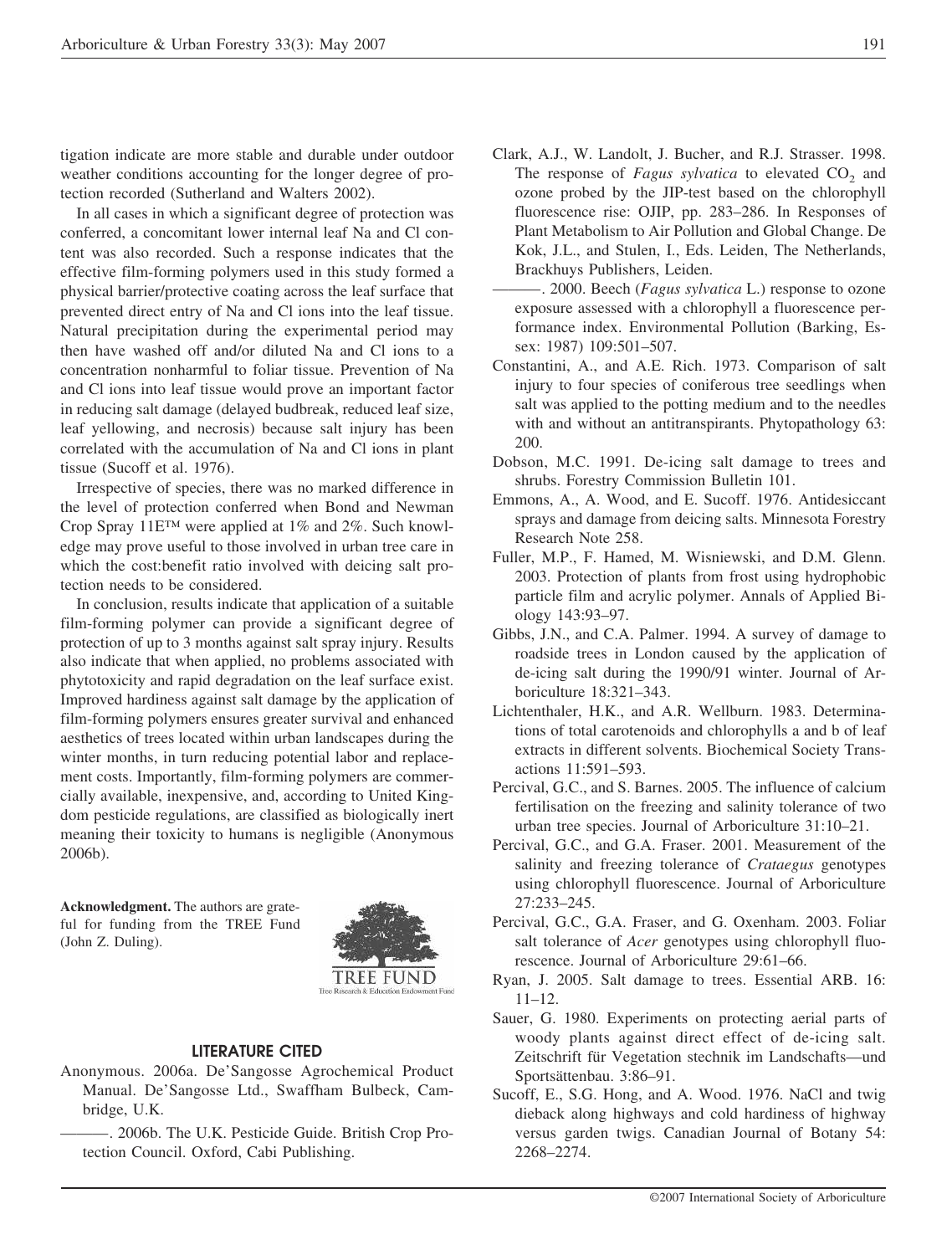tigation indicate are more stable and durable under outdoor weather conditions accounting for the longer degree of protection recorded (Sutherland and Walters 2002).

In all cases in which a significant degree of protection was conferred, a concomitant lower internal leaf Na and Cl content was also recorded. Such a response indicates that the effective film-forming polymers used in this study formed a physical barrier/protective coating across the leaf surface that prevented direct entry of Na and Cl ions into the leaf tissue. Natural precipitation during the experimental period may then have washed off and/or diluted Na and Cl ions to a concentration nonharmful to foliar tissue. Prevention of Na and Cl ions into leaf tissue would prove an important factor in reducing salt damage (delayed budbreak, reduced leaf size, leaf yellowing, and necrosis) because salt injury has been correlated with the accumulation of Na and Cl ions in plant tissue (Sucoff et al. 1976).

Irrespective of species, there was no marked difference in the level of protection conferred when Bond and Newman Crop Spray 11E™ were applied at 1% and 2%. Such knowledge may prove useful to those involved in urban tree care in which the cost:benefit ratio involved with deicing salt protection needs to be considered.

In conclusion, results indicate that application of a suitable film-forming polymer can provide a significant degree of protection of up to 3 months against salt spray injury. Results also indicate that when applied, no problems associated with phytotoxicity and rapid degradation on the leaf surface exist. Improved hardiness against salt damage by the application of film-forming polymers ensures greater survival and enhanced aesthetics of trees located within urban landscapes during the winter months, in turn reducing potential labor and replacement costs. Importantly, film-forming polymers are commercially available, inexpensive, and, according to United Kingdom pesticide regulations, are classified as biologically inert meaning their toxicity to humans is negligible (Anonymous 2006b).

**Acknowledgment.** The authors are grateful for funding from the TREE Fund (John Z. Duling).



#### **LITERATURE CITED**

- Anonymous. 2006a. De'Sangosse Agrochemical Product Manual. De'Sangosse Ltd., Swaffham Bulbeck, Cambridge, U.K.
- ———. 2006b. The U.K. Pesticide Guide. British Crop Protection Council. Oxford, Cabi Publishing.
- Clark, A.J., W. Landolt, J. Bucher, and R.J. Strasser. 1998. The response of *Fagus sylvatica* to elevated CO<sub>2</sub> and ozone probed by the JIP-test based on the chlorophyll fluorescence rise: OJIP, pp. 283–286. In Responses of Plant Metabolism to Air Pollution and Global Change. De Kok, J.L., and Stulen, I., Eds. Leiden, The Netherlands, Brackhuys Publishers, Leiden.
- ———. 2000. Beech (*Fagus sylvatica* L.) response to ozone exposure assessed with a chlorophyll a fluorescence performance index. Environmental Pollution (Barking, Essex: 1987) 109:501–507.
- Constantini, A., and A.E. Rich. 1973. Comparison of salt injury to four species of coniferous tree seedlings when salt was applied to the potting medium and to the needles with and without an antitranspirants. Phytopathology 63: 200.
- Dobson, M.C. 1991. De-icing salt damage to trees and shrubs. Forestry Commission Bulletin 101.
- Emmons, A., A. Wood, and E. Sucoff. 1976. Antidesiccant sprays and damage from deicing salts. Minnesota Forestry Research Note 258.
- Fuller, M.P., F. Hamed, M. Wisniewski, and D.M. Glenn. 2003. Protection of plants from frost using hydrophobic particle film and acrylic polymer. Annals of Applied Biology 143:93–97.
- Gibbs, J.N., and C.A. Palmer. 1994. A survey of damage to roadside trees in London caused by the application of de-icing salt during the 1990/91 winter. Journal of Arboriculture 18:321–343.
- Lichtenthaler, H.K., and A.R. Wellburn. 1983. Determinations of total carotenoids and chlorophylls a and b of leaf extracts in different solvents. Biochemical Society Transactions 11:591–593.
- Percival, G.C., and S. Barnes. 2005. The influence of calcium fertilisation on the freezing and salinity tolerance of two urban tree species. Journal of Arboriculture 31:10–21.
- Percival, G.C., and G.A. Fraser. 2001. Measurement of the salinity and freezing tolerance of *Crataegus* genotypes using chlorophyll fluorescence. Journal of Arboriculture 27:233–245.
- Percival, G.C., G.A. Fraser, and G. Oxenham. 2003. Foliar salt tolerance of *Acer* genotypes using chlorophyll fluorescence. Journal of Arboriculture 29:61–66.
- Ryan, J. 2005. Salt damage to trees. Essential ARB. 16: 11–12.
- Sauer, G. 1980. Experiments on protecting aerial parts of woody plants against direct effect of de-icing salt. Zeitschrift für Vegetation stechnik im Landschafts—und Sportsättenbau. 3:86–91.
- Sucoff, E., S.G. Hong, and A. Wood. 1976. NaCl and twig dieback along highways and cold hardiness of highway versus garden twigs. Canadian Journal of Botany 54: 2268–2274.